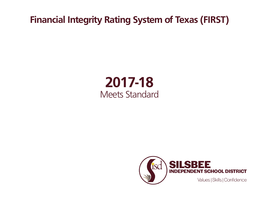**Financial Integrity Rating System of Texas (FIRST)**

## **2017-18** Meets Standard

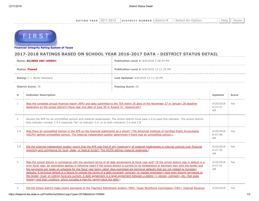| <b>YFAR</b><br><b>RATING</b> | 2017<br>'-2018 | <b>DISTRICT</b><br><b>NUMBER</b> | i distric.<br>z | . . Select .<br>Δn |  |  |
|------------------------------|----------------|----------------------------------|-----------------|--------------------|--|--|
|                              |                |                                  |                 |                    |  |  |



**[Financial Integrity Rating Syste](https://tealprod.tea.state.tx.us/First/forms/Main.aspx)m of Texas**

## **2017-2018 RATINGS BASED ON SCHOOL YEAR 2016-2017 DATA - DISTRICT STATUS DETAIL**

| Name: SILSBEE ISD(100904)           |                                                                                                                                                                                                                                                                                                                                                                                                                                                                                                                                                                                                                                                                                                                                                                                                                                       | Publication Level 1: 8/6/2018 2:48:24 PM  |                                   |              |  |  |
|-------------------------------------|---------------------------------------------------------------------------------------------------------------------------------------------------------------------------------------------------------------------------------------------------------------------------------------------------------------------------------------------------------------------------------------------------------------------------------------------------------------------------------------------------------------------------------------------------------------------------------------------------------------------------------------------------------------------------------------------------------------------------------------------------------------------------------------------------------------------------------------|-------------------------------------------|-----------------------------------|--------------|--|--|
| <b>Status: Passed</b>               |                                                                                                                                                                                                                                                                                                                                                                                                                                                                                                                                                                                                                                                                                                                                                                                                                                       | Publication Level 2: 8/8/2018 12:11:29 PM |                                   |              |  |  |
| <b>Rating:</b> $C = Meets$ Standard |                                                                                                                                                                                                                                                                                                                                                                                                                                                                                                                                                                                                                                                                                                                                                                                                                                       | Last Updated: 8/8/2018 12:11:29 PM        |                                   |              |  |  |
| <b>District Score: 78</b>           |                                                                                                                                                                                                                                                                                                                                                                                                                                                                                                                                                                                                                                                                                                                                                                                                                                       | Passing Score: 60                         |                                   |              |  |  |
| #                                   | <b>Indicator Description</b>                                                                                                                                                                                                                                                                                                                                                                                                                                                                                                                                                                                                                                                                                                                                                                                                          |                                           | <b>Updated</b>                    | <b>Score</b> |  |  |
| 1                                   | Was the complete annual financial report (AFR) and data submitted to the TEA within 30 days of the November 27 or January 28 deadline<br>depending on the school district's fiscal year end date of June 30 or August 31, respectively?                                                                                                                                                                                                                                                                                                                                                                                                                                                                                                                                                                                               |                                           | 4/20/2018<br>8:47:47<br><b>AM</b> | Yes          |  |  |
| 2                                   | Review the AFR for an unmodified opinion and material weaknesses. The school district must pass 2.A to pass this indicator. The school district<br>fails indicator number 2 if it responds "No" to indicator 2.A. or to both indicators 2.A and 2.B.                                                                                                                                                                                                                                                                                                                                                                                                                                                                                                                                                                                  |                                           |                                   |              |  |  |
| 2.A                                 | Was there an unmodified opinion in the AFR on the financial statements as a whole? (The American Institute of Certified Public Accountants<br>(AICPA) defines unmodified opinion. The external independent auditor determines if there was an unmodified opinion.)                                                                                                                                                                                                                                                                                                                                                                                                                                                                                                                                                                    |                                           |                                   | Yes          |  |  |
| 2.B                                 | Did the external independent auditor report that the AFR was free of any instance(s) of material weaknesses in internal controls over financial<br>reporting and compliance for local, state, or federal funds? (The AICPA defines material weakness.)                                                                                                                                                                                                                                                                                                                                                                                                                                                                                                                                                                                |                                           | 4/20/2018<br>8:47:50<br><b>AM</b> | Yes          |  |  |
| 3                                   | Was the school district in compliance with the payment terms of all debt agreements at fiscal year end? (If the school district was in default in a<br>prior fiscal year, an exemption applies in following years if the school district is current on its forbearance or payment plan with the lender and<br>the payments are made on schedule for the fiscal year being rated. Also exempted are technical defaults that are not related to monetary<br>defaults. A technical default is a failure to uphold the terms of a debt covenant, contract, or master promissory note even though payments to<br>the lender, trust, or sinking fund are current. A debt agreement is a legal agreement between a debtor (= person, company, etc. that owes<br>money) and their creditors, which includes a plan for paying back the debt.) |                                           | 4/20/2018<br>8:47:52<br>AM        | Yes          |  |  |
| 4                                   | Did the school district make timely payments to the Teachers Retirement System (TRS), Texas Workforce Commission (TWC), Internal Revenue                                                                                                                                                                                                                                                                                                                                                                                                                                                                                                                                                                                                                                                                                              |                                           | 4/20/2018                         | Yes          |  |  |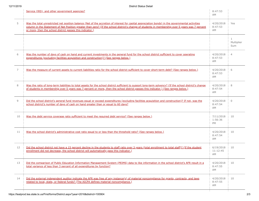|                | Service (IRS), and other government agencies?                                                                                                                                                                                                                                                                                                                     | 8:47:53<br>AM               |                                   |
|----------------|-------------------------------------------------------------------------------------------------------------------------------------------------------------------------------------------------------------------------------------------------------------------------------------------------------------------------------------------------------------------|-----------------------------|-----------------------------------|
| 5              | Was the total unrestricted net position balance (Net of the accretion of interest for capital appreciation bonds) in the governmental activities<br>column in the Statement of Net Position greater than zero? (If the school district's change of students in membership over 5 years was 7 percent<br>or more, then the school district passes this indicator.) | 4/20/2018<br>8:47:53<br>AM  | Yes                               |
|                |                                                                                                                                                                                                                                                                                                                                                                   |                             | $\mathbf{1}$<br>Multiplier<br>Sum |
| 6              | Was the number of days of cash on hand and current investments in the general fund for the school district sufficient to cover operating<br>expenditures (excluding facilities acquisition and construction)? (See ranges below.)                                                                                                                                 | 4/20/2018<br>8:47:53<br>AM  | $\overline{4}$                    |
| 7              | Was the measure of current assets to current liabilities ratio for the school district sufficient to cover short-term debt? (See ranges below.)                                                                                                                                                                                                                   | 4/20/2018<br>8:47:53<br>AM  | 6                                 |
| 8              | Was the ratio of long-term liabilities to total assets for the school district sufficient to support long-term solvency? (If the school district's change<br>of students in membership over 5 years was 7 percent or more, then the school district passes this indicator.) (See ranges below.)                                                                   | 4/20/2018<br>8:47:54<br>AM  | 8                                 |
| $\overline{9}$ | Did the school district's general fund revenues equal or exceed expenditures (excluding facilities acquisition and construction)? If not, was the<br>school district's number of days of cash on hand greater than or equal to 60 days?                                                                                                                           | 4/20/2018<br>8:47:54<br>AM  | $\Omega$                          |
| 10             | Was the debt service coverage ratio sufficient to meet the required debt service? (See ranges below.)                                                                                                                                                                                                                                                             | 7/11/2018<br>1:56:36<br>PM  | 10                                |
| 11             | Was the school district's administrative cost ratio equal to or less than the threshold ratio? (See ranges below.)                                                                                                                                                                                                                                                | 4/20/2018<br>8:47:54<br>AM  | 10                                |
| 12             | Did the school district not have a 15 percent decline in the students to staff ratio over 3 years (total enrollment to total staff)? (If the student<br>enrollment did not decrease, the school district will automatically pass this indicator.)                                                                                                                 | 6/19/2018<br>11:12:45<br>AM | 10                                |
| 13             | Did the comparison of Public Education Information Management System (PEIMS) data to like information in the school district's AFR result in a<br>total variance of less than 3 percent of all expenditures by function?                                                                                                                                          | 4/20/2018<br>8:47:55<br>AM  | 10                                |
| 14             | Did the external independent auditor indicate the AFR was free of any instance(s) of material noncompliance for grants, contracts, and laws<br>related to local, state, or federal funds? (The AICPA defines material noncompliance.)                                                                                                                             | 4/20/2018<br>8:47:55<br>AM  | 10                                |
|                |                                                                                                                                                                                                                                                                                                                                                                   |                             |                                   |